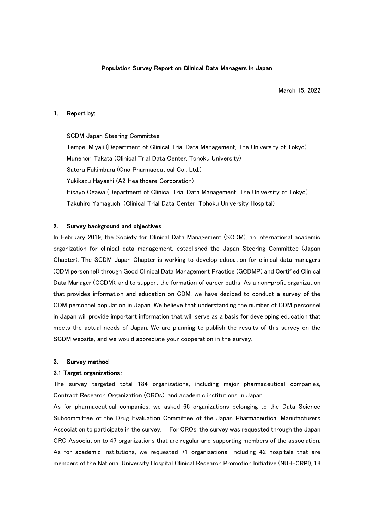## Population Survey Report on Clinical Data Managers in Japan

March 15, 2022

#### 1. Report by:

SCDM Japan Steering Committee Tempei Miyaji (Department of Clinical Trial Data Management, The University of Tokyo) Munenori Takata (Clinical Trial Data Center, Tohoku University) Satoru Fukimbara (Ono Pharmaceutical Co., Ltd.) Yukikazu Hayashi (A2 Healthcare Corporation) Hisayo Ogawa (Department of Clinical Trial Data Management, The University of Tokyo) Takuhiro Yamaguchi (Clinical Trial Data Center, Tohoku University Hospital)

#### 2. Survey background and objectives

In February 2019, the Society for Clinical Data Management (SCDM), an international academic organization for clinical data management, established the Japan Steering Committee (Japan Chapter). The SCDM Japan Chapter is working to develop education for clinical data managers (CDM personnel) through Good Clinical Data Management Practice (GCDMP) and Certified Clinical Data Manager (CCDM), and to support the formation of career paths. As a non-profit organization that provides information and education on CDM, we have decided to conduct a survey of the CDM personnel population in Japan. We believe that understanding the number of CDM personnel in Japan will provide important information that will serve as a basis for developing education that meets the actual needs of Japan. We are planning to publish the results of this survey on the SCDM website, and we would appreciate your cooperation in the survey.

#### 3. Survey method

## 3.1 Target organizations:

The survey targeted total 184 organizations, including major pharmaceutical companies, Contract Research Organization (CROs), and academic institutions in Japan.

As for pharmaceutical companies, we asked 66 organizations belonging to the Data Science Subcommittee of the Drug Evaluation Committee of the Japan Pharmaceutical Manufacturers Association to participate in the survey. For CROs, the survey was requested through the Japan CRO Association to 47 organizations that are regular and supporting members of the association. As for academic institutions, we requested 71 organizations, including 42 hospitals that are members of the National University Hospital Clinical Research Promotion Initiative (NUH-CRPI), 18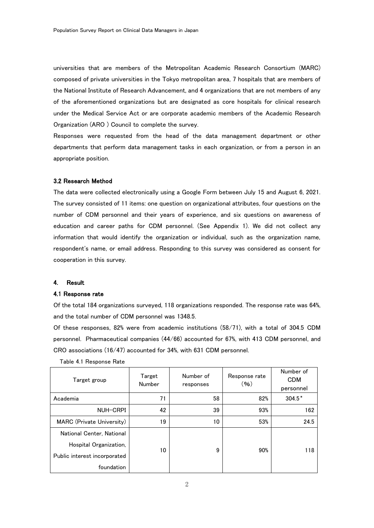universities that are members of the Metropolitan Academic Research Consortium (MARC) composed of private universities in the Tokyo metropolitan area, 7 hospitals that are members of the National Institute of Research Advancement, and 4 organizations that are not members of any of the aforementioned organizations but are designated as core hospitals for clinical research under the Medical Service Act or are corporate academic members of the Academic Research Organization (ARO ) Council to complete the survey.

Responses were requested from the head of the data management department or other departments that perform data management tasks in each organization, or from a person in an appropriate position.

#### 3.2 Research Method

The data were collected electronically using a Google Form between July 15 and August 6, 2021. The survey consisted of 11 items: one question on organizational attributes, four questions on the number of CDM personnel and their years of experience, and six questions on awareness of education and career paths for CDM personnel. (See Appendix 1). We did not collect any information that would identify the organization or individual, such as the organization name, respondent's name, or email address. Responding to this survey was considered as consent for cooperation in this survey.

#### 4. Result

## 4.1 Response rate

Of the total 184 organizations surveyed, 118 organizations responded. The response rate was 64%, and the total number of CDM personnel was 1348.5.

Of these responses, 82% were from academic institutions (58/71), with a total of 304.5 CDM personnel. Pharmaceutical companies (44/66) accounted for 67%, with 413 CDM personnel, and CRO associations (16/47) accounted for 34%, with 631 CDM personnel.

| Target group                 | Target<br>Number | Number of<br>responses | Response rate<br>(96) | Number of<br><b>CDM</b><br>personnel |
|------------------------------|------------------|------------------------|-----------------------|--------------------------------------|
| Academia                     | 71               | 58                     | 82%                   | $304.5*$                             |
| NUH-CRPI                     | 42               | 39                     | 93%                   | 162                                  |
| MARC (Private University)    | 19               | 10                     | 53%                   | 24.5                                 |
| National Center, National    |                  |                        |                       |                                      |
| Hospital Organization,       | 10               | 9                      | 90%                   | 118                                  |
| Public interest incorporated |                  |                        |                       |                                      |
| foundation                   |                  |                        |                       |                                      |

Table 4.1 Response Rate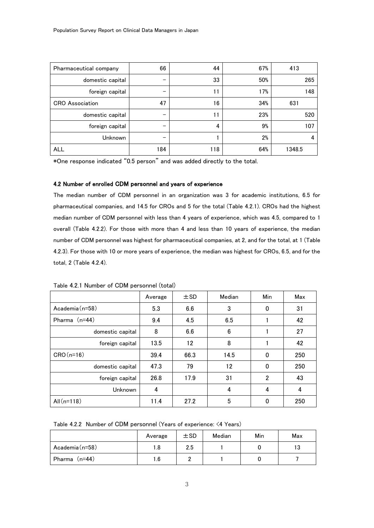| Pharmaceutical company | 66  | 44  | 67% | 413    |
|------------------------|-----|-----|-----|--------|
| domestic capital       | —   | 33  | 50% | 265    |
| foreign capital        |     | 11  | 17% | 148    |
| <b>CRO</b> Association | 47  | 16  | 34% | 631    |
| domestic capital       | —   | 11  | 23% | 520    |
| foreign capital        | —   | 4   | 9%  | 107    |
| Unknown                | –   |     | 2%  | 4      |
| <b>ALL</b>             | 184 | 118 | 64% | 1348.5 |

\*One response indicated "0.5 person" and was added directly to the total.

## 4.2 Number of enrolled CDM personnel and years of experience

The median number of CDM personnel in an organization was 3 for academic institutions, 6.5 for pharmaceutical companies, and 14.5 for CROs and 5 for the total (Table 4.2.1). CROs had the highest median number of CDM personnel with less than 4 years of experience, which was 4.5, compared to 1 overall (Table 4.2.2). For those with more than 4 and less than 10 years of experience, the median number of CDM personnel was highest for pharmaceutical companies, at 2, and for the total, at 1 (Table 4.2.3). For those with 10 or more years of experience, the median was highest for CROs, 6.5, and for the total, 2 (Table 4.2.4).

|                  | Average | ±SD  | Median | Min            | Max |
|------------------|---------|------|--------|----------------|-----|
| Academia (n=58)  | 5.3     | 6.6  | 3      | 0              | 31  |
| Pharma (n=44)    | 9.4     | 4.5  | 6.5    |                | 42  |
| domestic capital | 8       | 6.6  | 6      |                | 27  |
| foreign capital  | 13.5    | 12   | 8      |                | 42  |
| $CRO(n=16)$      | 39.4    | 66.3 | 14.5   | $\Omega$       | 250 |
| domestic capital | 47.3    | 79   | 12     | $\Omega$       | 250 |
| foreign capital  | 26.8    | 17.9 | 31     | $\overline{2}$ | 43  |
| Unknown          | 4       |      | 4      | 4              | 4   |
| All $(n=118)$    | 11.4    | 27.2 | 5      | 0              | 250 |

Table 4.2.1 Number of CDM personnel (total)

Table 4.2.2 Number of CDM personnel (Years of experience: <4 Years)

|                    | Average | ±SD | Median | Min | Max |
|--------------------|---------|-----|--------|-----|-----|
| Academia $(n=58)$  | 8. ا    | 2.5 |        |     | ۱3  |
| $(n=44)$<br>Pharma | 6. ا    |     |        |     |     |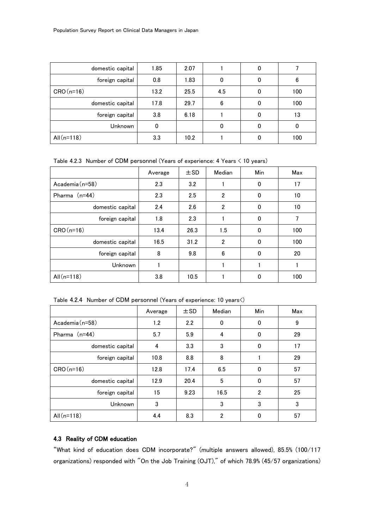| domestic capital | 1.85 | 2.07 |     |              |     |
|------------------|------|------|-----|--------------|-----|
| foreign capital  | 0.8  | 1.83 | 0   | $\Omega$     | 6   |
| $CRO(n=16)$      | 13.2 | 25.5 | 4.5 | 0            | 100 |
| domestic capital | 17.8 | 29.7 | 6   | 0            | 100 |
| foreign capital  | 3.8  | 6.18 |     | 0            | 13  |
| Unknown          | 0    |      | 0   | $\mathbf{0}$ |     |
| All $(n=118)$    | 3.3  | 10.2 |     |              | 100 |

Table 4.2.3 Number of CDM personnel (Years of experience: 4 Years < 10 years)

|                  | Average | $\pm$ SD | Median         | Min      | Max |
|------------------|---------|----------|----------------|----------|-----|
| Academia (n=58)  | 2.3     | 3.2      |                | 0        | 17  |
| Pharma $(n=44)$  | 2.3     | 2.5      | $\overline{2}$ | $\Omega$ | 10  |
| domestic capital | 2.4     | 2.6      | $\overline{2}$ | $\Omega$ | 10  |
| foreign capital  | 1.8     | 2.3      |                | $\Omega$ | 7   |
| $CRO(n=16)$      | 13.4    | 26.3     | 1.5            | $\Omega$ | 100 |
| domestic capital | 16.5    | 31.2     | $\overline{2}$ | $\Omega$ | 100 |
| foreign capital  | 8       | 9.8      | 6              | $\Omega$ | 20  |
| Unknown          |         |          |                |          |     |
| All $(n=118)$    | 3.8     | 10.5     |                | 0        | 100 |

Table 4.2.4 Number of CDM personnel (Years of experience: 10 years<)

|                  | Average | $\pm$ SD | Median | Min            | Max |
|------------------|---------|----------|--------|----------------|-----|
| Academia (n=58)  | 1.2     | 2.2      | 0      | 0              | 9   |
| Pharma $(n=44)$  | 5.7     | 5.9      | 4      | 0              | 29  |
| domestic capital | 4       | 3.3      | 3      | $\Omega$       | 17  |
| foreign capital  | 10.8    | 8.8      | 8      |                | 29  |
| $CRO(n=16)$      | 12.8    | 17.4     | 6.5    | $\Omega$       | 57  |
| domestic capital | 12.9    | 20.4     | 5      | $\Omega$       | 57  |
| foreign capital  | 15      | 9.23     | 16.5   | $\overline{2}$ | 25  |
| Unknown          | 3       |          | 3      | 3              | 3   |
| All $(n=118)$    | 4.4     | 8.3      | 2      | 0              | 57  |

## 4.3 Reality of CDM education

"What kind of education does CDM incorporate?" (multiple answers allowed), 85.5% (100/117 organizations) responded with "On the Job Training (OJT)," of which 78.9% (45/57 organizations)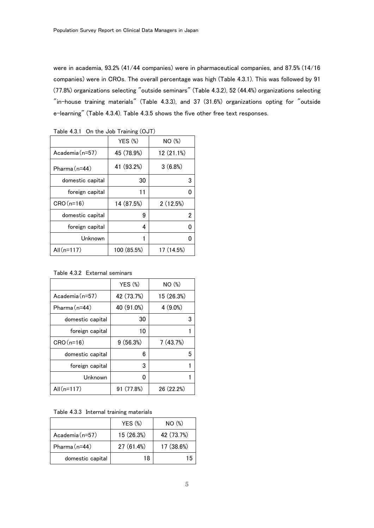were in academia, 93.2% (41/44 companies) were in pharmaceutical companies, and 87.5% (14/16 companies) were in CROs. The overall percentage was high (Table 4.3.1). This was followed by 91 (77.8%) organizations selecting "outside seminars" (Table 4.3.2), 52 (44.4%) organizations selecting  $"$ in-house training materials" (Table 4.3.3), and 37 (31.6%) organizations opting for  $"$ outside e-learning" (Table 4.3.4). Table 4.3.5 shows the five other free text responses.

|                   | $YES$ $%$   | NO <sub>(</sub> ) |
|-------------------|-------------|-------------------|
| Academia $(n=57)$ | 45 (78.9%)  | 12 (21.1%)        |
| $Pharma(n=44)$    | 41 (93.2%)  | 3(6.8%)           |
| domestic capital  | 30          | 3                 |
| foreign capital   | 11          |                   |
| $CRO(n=16)$       | 14 (87.5%)  | 2(12.5%)          |
| domestic capital  | 9           | 2                 |
| foreign capital   | 4           |                   |
| Unknown           | 1           |                   |
| All $(n=117)$     | 100 (85.5%) | 17 (14.5%)        |

Table 4.3.1 On the Job Training (OJT)

Table 4.3.2 External seminars

|                   | $YES$ $%$  | NO <sub>(%)</sub> |
|-------------------|------------|-------------------|
| Academia $(n=57)$ | 42 (73.7%) | 15 (26.3%)        |
| $Pharma(n=44)$    | 40 (91.0%) | $4(9.0\%)$        |
| domestic capital  | 30         | З                 |
| foreign capital   | 10         |                   |
| $CRO(n=16)$       | 9(56.3%)   | 7(43.7%)          |
| domestic capital  | 6          | 5                 |
| foreign capital   | 3          |                   |
| Unknown           | O          |                   |
| All $(n=117)$     | 91 (77.8%) | 26(22.2%)         |

Table 4.3.3 Internal training materials

|                  | $YES$ $%$  | NO <sub>(%)</sub> |
|------------------|------------|-------------------|
| Academia (n=57)  | 15 (26.3%) | 42 (73.7%)        |
| Pharma $(n=44)$  | 27(61.4%)  | 17 (38.6%)        |
| domestic capital | 18         | 15                |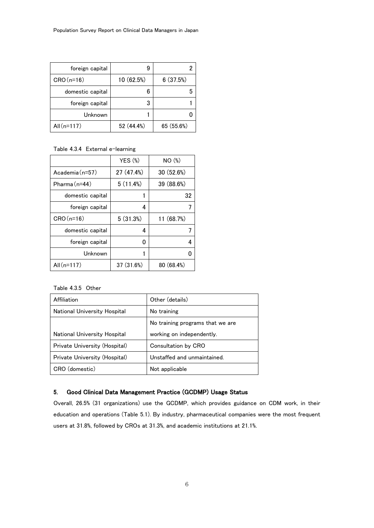| foreign capital  |            |            |
|------------------|------------|------------|
| $CRO(n=16)$      | 10 (62.5%) | 6(37.5%)   |
| domestic capital | 6          |            |
| foreign capital  |            |            |
| Unknown          |            |            |
| All $(n=117)$    | 52 (44.4%) | 65 (55.6%) |

#### Table 4.3.4 External e-learning

|                  | $YES$ $%$  | NO (%)     |
|------------------|------------|------------|
| $Academia(n=57)$ | 27 (47.4%) | 30 (52.6%) |
| Pharma $(n=44)$  | 5(11.4%)   | 39 (88.6%) |
| domestic capital |            | 32         |
| foreign capital  | 4          |            |
| $CRO(n=16)$      | 5(31.3%)   | 11 (68.7%) |
| domestic capital | 4          |            |
| foreign capital  | 0          |            |
| Unknown          |            |            |
| All $(n=117)$    | 37 (31.6%) | 80 (68.4%) |

Table 4.3.5 Other

| Affiliation                   | Other (details)                  |
|-------------------------------|----------------------------------|
| National University Hospital  | No training                      |
|                               | No training programs that we are |
| National University Hospital  | working on independently.        |
| Private University (Hospital) | Consultation by CRO              |
| Private University (Hospital) | Unstaffed and unmaintained.      |
| CRO (domestic)                | Not applicable                   |

## 5. Good Clinical Data Management Practice (GCDMP) Usage Status

Overall, 26.5% (31 organizations) use the GCDMP, which provides guidance on CDM work, in their education and operations (Table 5.1). By industry, pharmaceutical companies were the most frequent users at 31.8%, followed by CROs at 31.3%, and academic institutions at 21.1%.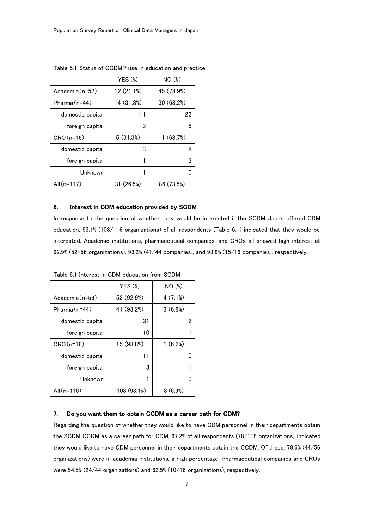|                   | $YES$ $%$  | NO <sub>(</sub> ) |
|-------------------|------------|-------------------|
| Academia $(n=57)$ | 12 (21.1%) | 45 (78.9%)        |
| Pharma (n=44)     | 14 (31.8%) | 30(68.2%)         |
| domestic capital  | 11         | 22                |
| foreign capital   | 3          | 8                 |
| $CRO(n=16)$       | 5(31.3%)   | 11 (68.7%)        |
| domestic capital  | 3          |                   |
| foreign capital   |            | 3                 |
| Unknown           |            |                   |
| All $(n=117)$     | 31(26.5%)  | 86 (73.5%)        |

Table 5.1 Status of GCDMP use in education and practice

#### 6. Interest in CDM education provided by SCDM

In response to the question of whether they would be interested if the SCDM Japan offered CDM education, 93.1% (108/116 organizations) of all respondents (Table 6.1) indicated that they would be interested. Academic institutions, pharmaceutical companies, and CROs all showed high interest at 92.9% (52/56 organizations), 93.2% (41/44 companies), and 93.8% (15/16 companies), respectively.

|                  | $YES$ $%$  | NO <sub>(%)</sub> |
|------------------|------------|-------------------|
| $Academia(n=56)$ | 52 (92.9%) | 4(7.1%)           |
| $Pharma(n=44)$   | 41 (93.2%) | 3(6.8%)           |
| domestic capital | 31         | 2                 |
| foreign capital  | 10         |                   |
| $CRO(n=16)$      | 15 (93.8%) | 1(6.2%)           |
| domestic capital | 11         |                   |
| foreign capital  | 3          |                   |
| Unknown          |            |                   |
|                  |            |                   |

Table 6.1 Interest in CDM education from SCDM

#### 7. Do you want them to obtain CCDM as a career path for CDM?

Regarding the question of whether they would like to have CDM personnel in their departments obtain the SCDM CCDM as a career path for CDM, 67.2% of all respondents (78/118 organizations) indicated they would like to have CDM personnel in their departments obtain the CCDM. Of these, 78.6% (44/56 organizations) were in academia institutions, a high percentage. Pharmaceutical companies and CROs were 54.5% (24/44 organizations) and 62.5% (10/16 organizations), respectively.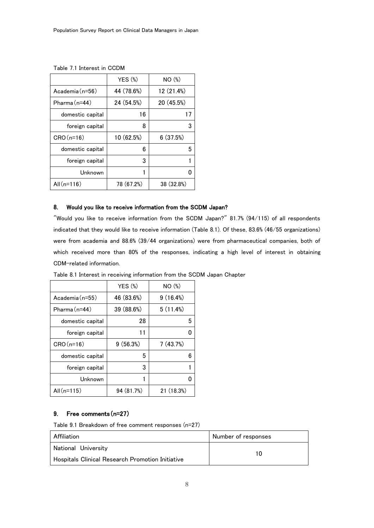|                  | $YES$ $%$  | NO <sub>(</sub> ) |
|------------------|------------|-------------------|
| $Academia(n=56)$ | 44 (78.6%) | 12 (21.4%)        |
| $Pharma(n=44)$   | 24 (54.5%) | 20 (45.5%)        |
| domestic capital | 16         | 17                |
| foreign capital  | 8          | 3                 |
| $CRO(n=16)$      | 10 (62.5%) | 6(37.5%)          |
| domestic capital | 6          | 5                 |
| foreign capital  | 3          |                   |
| Unknown          |            |                   |
| All $(n=116)$    | 78 (67.2%) | 38 (32.8%)        |

Table 7.1 Interest in CCDM

## 8. Would you like to receive information from the SCDM Japan?

"Would you like to receive information from the SCDM Japan?" 81.7% (94/115) of all respondents indicated that they would like to receive information (Table 8.1). Of these, 83.6% (46/55 organizations) were from academia and 88.6% (39/44 organizations) were from pharmaceutical companies, both of which received more than 80% of the responses, indicating a high level of interest in obtaining CDM-related information.

|                  | $YES$ $%$  | NO <sub>(%)</sub> |
|------------------|------------|-------------------|
| $Academia(n=55)$ | 46 (83.6%) | 9(16.4%)          |
| $Pharma(n=44)$   | 39 (88.6%) | 5(11.4%)          |
| domestic capital | 28         | 5                 |
| foreign capital  | 11         |                   |
| $CRO(n=16)$      | 9(56.3%)   | 7(43.7%)          |
| domestic capital | 5          | 6                 |
| foreign capital  | 3          |                   |
| Unknown          |            |                   |
| All $(n=115)$    | 94 (81.7%) | 21 (18.3%)        |

Table 8.1 Interest in receiving information from the SCDM Japan Chapter

## 9. Free comments(n=27)

Table 9.1 Breakdown of free comment responses (n=27)

| Affiliation                                             | Number of responses |
|---------------------------------------------------------|---------------------|
| National University                                     | 10                  |
| <b>Hospitals Clinical Research Promotion Initiative</b> |                     |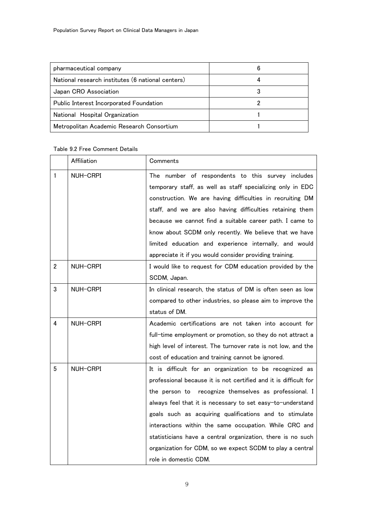| pharmaceutical company                            |  |
|---------------------------------------------------|--|
| National research institutes (6 national centers) |  |
| Japan CRO Association                             |  |
| Public Interest Incorporated Foundation           |  |
| National Hospital Organization                    |  |
| Metropolitan Academic Research Consortium         |  |

## Table 9.2 Free Comment Details

|              | Affiliation | Comments                                                         |
|--------------|-------------|------------------------------------------------------------------|
| $\mathbf{1}$ | NUH-CRPI    | The number of respondents to this survey includes                |
|              |             | temporary staff, as well as staff specializing only in EDC       |
|              |             | construction. We are having difficulties in recruiting DM        |
|              |             | staff, and we are also having difficulties retaining them        |
|              |             | because we cannot find a suitable career path. I came to         |
|              |             | know about SCDM only recently. We believe that we have           |
|              |             | limited education and experience internally, and would           |
|              |             | appreciate it if you would consider providing training.          |
| $\mathbf{2}$ | NUH-CRPI    | I would like to request for CDM education provided by the        |
|              |             | SCDM, Japan.                                                     |
| 3            | NUH-CRPI    | In clinical research, the status of DM is often seen as low      |
|              |             | compared to other industries, so please aim to improve the       |
|              |             | status of DM.                                                    |
| 4            | NUH-CRPI    | Academic certifications are not taken into account for           |
|              |             | full-time employment or promotion, so they do not attract a      |
|              |             | high level of interest. The turnover rate is not low, and the    |
|              |             | cost of education and training cannot be ignored.                |
| 5            | NUH-CRPI    | It is difficult for an organization to be recognized as          |
|              |             | professional because it is not certified and it is difficult for |
|              |             | the person to recognize themselves as professional. I            |
|              |             | always feel that it is necessary to set easy-to-understand       |
|              |             | goals such as acquiring qualifications and to stimulate          |
|              |             | interactions within the same occupation. While CRC and           |
|              |             | statisticians have a central organization, there is no such      |
|              |             | organization for CDM, so we expect SCDM to play a central        |
|              |             | role in domestic CDM.                                            |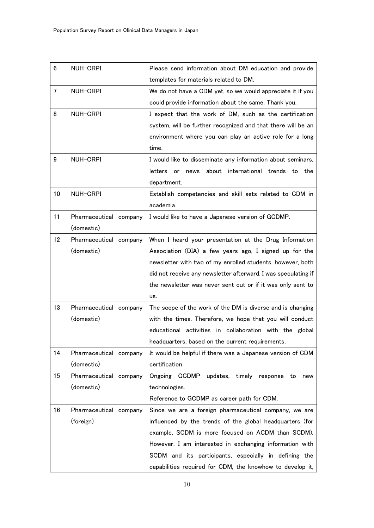| 6               | NUH-CRPI               | Please send information about DM education and provide           |
|-----------------|------------------------|------------------------------------------------------------------|
|                 |                        | templates for materials related to DM.                           |
| $7\overline{ }$ | NUH-CRPI               | We do not have a CDM yet, so we would appreciate it if you       |
|                 |                        | could provide information about the same. Thank you.             |
| 8               | NUH-CRPI               | I expect that the work of DM, such as the certification          |
|                 |                        | system, will be further recognized and that there will be an     |
|                 |                        | environment where you can play an active role for a long         |
|                 |                        | time.                                                            |
| 9               | NUH-CRPI               | I would like to disseminate any information about seminars,      |
|                 |                        | about international trends<br>letters<br>news<br>to<br>the<br>or |
|                 |                        | department.                                                      |
| 10              | NUH-CRPI               | Establish competencies and skill sets related to CDM in          |
|                 |                        | academia.                                                        |
| 11              | Pharmaceutical company | I would like to have a Japanese version of GCDMP.                |
|                 | (domestic)             |                                                                  |
| 12              | Pharmaceutical company | When I heard your presentation at the Drug Information           |
|                 | (domestic)             | Association (DIA) a few years ago, I signed up for the           |
|                 |                        | newsletter with two of my enrolled students, however, both       |
|                 |                        | did not receive any newsletter afterward. I was speculating if   |
|                 |                        | the newsletter was never sent out or if it was only sent to      |
|                 |                        | us.                                                              |
| 13              | Pharmaceutical company | The scope of the work of the DM is diverse and is changing       |
|                 | (domestic)             | with the times. Therefore, we hope that you will conduct         |
|                 |                        | educational activities in collaboration with the global          |
|                 |                        | headquarters, based on the current requirements.                 |
| 14              | Pharmaceutical company | It would be helpful if there was a Japanese version of CDM       |
|                 | (domestic)             | certification.                                                   |
| 15              | Pharmaceutical company | Ongoing GCDMP updates, timely response to<br>new                 |
|                 | (domestic)             | technologies.                                                    |
|                 |                        | Reference to GCDMP as career path for CDM.                       |
| 16              | Pharmaceutical company | Since we are a foreign pharmaceutical company, we are            |
|                 | (foreign)              | influenced by the trends of the global headquarters (for         |
|                 |                        | example, SCDM is more focused on ACDM than SCDM).                |
|                 |                        | However, I am interested in exchanging information with          |
|                 |                        | SCDM and its participants, especially in defining the            |
|                 |                        | capabilities required for CDM, the knowhow to develop it,        |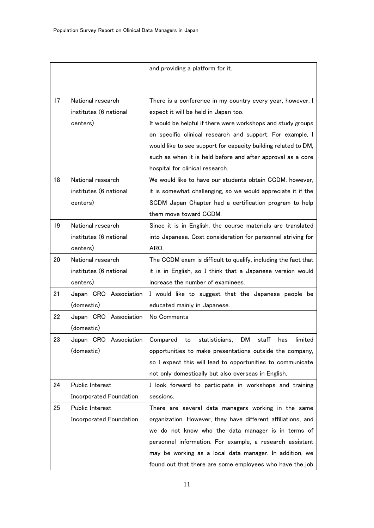|    |                         | and providing a platform for it.                                   |
|----|-------------------------|--------------------------------------------------------------------|
|    |                         |                                                                    |
| 17 | National research       | There is a conference in my country every year, however, I         |
|    | institutes (6 national  | expect it will be held in Japan too.                               |
|    | centers)                | It would be helpful if there were workshops and study groups       |
|    |                         | on specific clinical research and support. For example, I          |
|    |                         | would like to see support for capacity building related to DM,     |
|    |                         | such as when it is held before and after approval as a core        |
|    |                         | hospital for clinical research.                                    |
| 18 | National research       | We would like to have our students obtain CCDM, however,           |
|    | institutes (6 national  | it is somewhat challenging, so we would appreciate it if the       |
|    | centers)                | SCDM Japan Chapter had a certification program to help             |
|    |                         | them move toward CCDM.                                             |
| 19 | National research       | Since it is in English, the course materials are translated        |
|    | institutes (6 national  | into Japanese. Cost consideration for personnel striving for       |
|    | centers)                | ARO.                                                               |
| 20 | National research       | The CCDM exam is difficult to qualify, including the fact that     |
|    | institutes (6 national  | it is in English, so I think that a Japanese version would         |
|    | centers)                | increase the number of examinees.                                  |
| 21 | Japan CRO Association   | I would like to suggest that the Japanese people be                |
|    | (domestic)              | educated mainly in Japanese.                                       |
| 22 | Japan CRO Association   | No Comments                                                        |
|    | (domestic)              |                                                                    |
| 23 | Japan CRO Association   | Compared<br>statisticians,<br>DM.<br>staff<br>limited<br>to<br>has |
|    | (domestic)              | opportunities to make presentations outside the company,           |
|    |                         | so I expect this will lead to opportunities to communicate         |
|    |                         | not only domestically but also overseas in English.                |
| 24 | Public Interest         | I look forward to participate in workshops and training            |
|    | Incorporated Foundation | sessions.                                                          |
| 25 | Public Interest         | There are several data managers working in the same                |
|    | Incorporated Foundation | organization. However, they have different affiliations, and       |
|    |                         | we do not know who the data manager is in terms of                 |
|    |                         | personnel information. For example, a research assistant           |
|    |                         | may be working as a local data manager. In addition, we            |
|    |                         | found out that there are some employees who have the job           |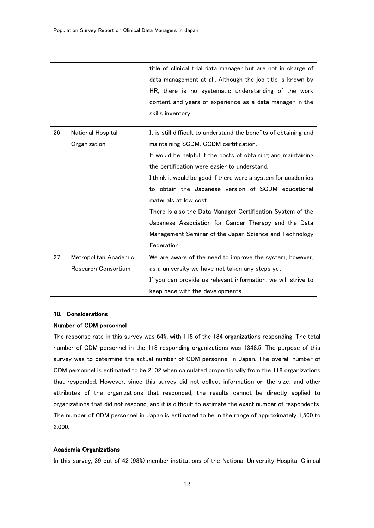|    |                       | title of clinical trial data manager but are not in charge of     |
|----|-----------------------|-------------------------------------------------------------------|
|    |                       | data management at all. Although the job title is known by        |
|    |                       | HR, there is no systematic understanding of the work              |
|    |                       | content and years of experience as a data manager in the          |
|    |                       | skills inventory.                                                 |
|    |                       |                                                                   |
| 26 | National Hospital     | It is still difficult to understand the benefits of obtaining and |
|    | Organization          | maintaining SCDM, CCDM certification.                             |
|    |                       | It would be helpful if the costs of obtaining and maintaining     |
|    |                       | the certification were easier to understand.                      |
|    |                       | I think it would be good if there were a system for academics     |
|    |                       | to obtain the Japanese version of SCDM educational                |
|    |                       | materials at low cost.                                            |
|    |                       | There is also the Data Manager Certification System of the        |
|    |                       | Japanese Association for Cancer Therapy and the Data              |
|    |                       | Management Seminar of the Japan Science and Technology            |
|    |                       | Federation.                                                       |
| 27 | Metropolitan Academic | We are aware of the need to improve the system, however,          |
|    | Research Consortium   | as a university we have not taken any steps yet.                  |
|    |                       | If you can provide us relevant information, we will strive to     |
|    |                       | keep pace with the developments.                                  |

#### 10. Considerations

## Number of CDM personnel

The response rate in this survey was 64%, with 118 of the 184 organizations responding. The total number of CDM personnel in the 118 responding organizations was 1348.5. The purpose of this survey was to determine the actual number of CDM personnel in Japan. The overall number of CDM personnel is estimated to be 2102 when calculated proportionally from the 118 organizations that responded. However, since this survey did not collect information on the size, and other attributes of the organizations that responded, the results cannot be directly applied to organizations that did not respond, and it is difficult to estimate the exact number of respondents. The number of CDM personnel in Japan is estimated to be in the range of approximately 1,500 to 2,000.

## Academia Organizations

In this survey, 39 out of 42 (93%) member institutions of the National University Hospital Clinical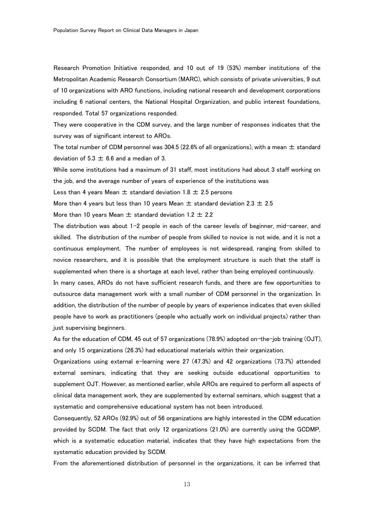Research Promotion Initiative responded, and 10 out of 19 (53%) member institutions of the Metropolitan Academic Research Consortium (MARC), which consists of private universities, 9 out of 10 organizations with ARO functions, including national research and development corporations including 6 national centers, the National Hospital Organization, and public interest foundations, responded. Total 57 organizations responded.

They were cooperative in the CDM survey, and the large number of responses indicates that the survey was of significant interest to AROs.

The total number of CDM personnel was 304.5 (22.6% of all organizations), with a mean  $\pm$  standard deviation of  $5.3 \pm 6.6$  and a median of 3.

While some institutions had a maximum of 31 staff, most institutions had about 3 staff working on the job, and the average number of years of experience of the institutions was

Less than 4 years Mean  $\pm$  standard deviation 1.8  $\pm$  2.5 persons

More than 4 years but less than 10 years Mean  $\pm$  standard deviation 2.3  $\pm$  2.5

More than 10 years Mean  $\pm$  standard deviation 1.2  $\pm$  2.2

The distribution was about 1-2 people in each of the career levels of beginner, mid-career, and skilled. The distribution of the number of people from skilled to novice is not wide, and it is not a continuous employment. The number of employees is not widespread, ranging from skilled to novice researchers, and it is possible that the employment structure is such that the staff is supplemented when there is a shortage at each level, rather than being employed continuously.

In many cases, AROs do not have sufficient research funds, and there are few opportunities to outsource data management work with a small number of CDM personnel in the organization. In addition, the distribution of the number of people by years of experience indicates that even skilled people have to work as practitioners (people who actually work on individual projects) rather than just supervising beginners.

As for the education of CDM, 45 out of 57 organizations (78.9%) adopted on-the-job training (OJT), and only 15 organizations (26.3%) had educational materials within their organization.

Organizations using external e-learning were 27 (47.3%) and 42 organizations (73.7%) attended external seminars, indicating that they are seeking outside educational opportunities to supplement OJT. However, as mentioned earlier, while AROs are required to perform all aspects of clinical data management work, they are supplemented by external seminars, which suggest that a systematic and comprehensive educational system has not been introduced.

Consequently, 52 AROs (92.9%) out of 56 organizations are highly interested in the CDM education provided by SCDM. The fact that only 12 organizations (21.0%) are currently using the GCDMP, which is a systematic education material, indicates that they have high expectations from the systematic education provided by SCDM.

From the aforementioned distribution of personnel in the organizations, it can be inferred that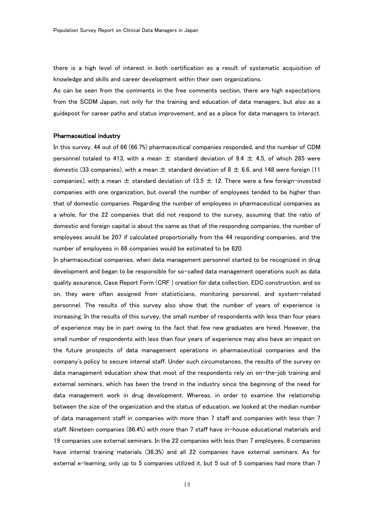there is a high level of interest in both certification as a result of systematic acquisition of knowledge and skills and career development within their own organizations.

As can be seen from the comments in the free comments section, there are high expectations from the SCDM Japan, not only for the training and education of data managers, but also as a guidepost for career paths and status improvement, and as a place for data managers to interact.

#### Pharmaceutical industry

In this survey, 44 out of 66 (66.7%) pharmaceutical companies responded, and the number of CDM personnel totaled to 413, with a mean  $\pm$  standard deviation of 9.4  $\pm$  4.5, of which 265 were domestic (33 companies), with a mean  $\pm$  standard deviation of 8  $\pm$  6.6, and 148 were foreign (11 companies), with a mean  $\pm$  standard deviation of 13.5  $\pm$  12. There were a few foreign-invested companies with one organization, but overall the number of employees tended to be higher than that of domestic companies. Regarding the number of employees in pharmaceutical companies as a whole, for the 22 companies that did not respond to the survey, assuming that the ratio of domestic and foreign capital is about the same as that of the responding companies, the number of employees would be 207 if calculated proportionally from the 44 responding companies, and the number of employees in 66 companies would be estimated to be 620.

In pharmaceutical companies, when data management personnel started to be recognized in drug development and began to be responsible for so-called data management operations such as data quality assurance, Case Report Form (CRF ) creation for data collection, EDC construction, and so on, they were often assigned from statisticians, monitoring personnel, and system-related personnel. The results of this survey also show that the number of years of experience is increasing. In the results of this survey, the small number of respondents with less than four years of experience may be in part owing to the fact that few new graduates are hired. However, the small number of respondents with less than four years of experience may also have an impact on the future prospects of data management operations in pharmaceutical companies and the company's policy to secure internal staff. Under such circumstances, the results of the survey on data management education show that most of the respondents rely on on-the-job training and external seminars, which has been the trend in the industry since the beginning of the need for data management work in drug development. Whereas, in order to examine the relationship between the size of the organization and the status of education, we looked at the median number of data management staff in companies with more than 7 staff and companies with less than 7 staff. Nineteen companies (86.4%) with more than 7 staff have in-house educational materials and 19 companies use external seminars. In the 22 companies with less than 7 employees, 8 companies have internal training materials (36.3%) and all 22 companies have external seminars. As for external e-learning, only up to 5 companies utilized it, but 5 out of 5 companies had more than 7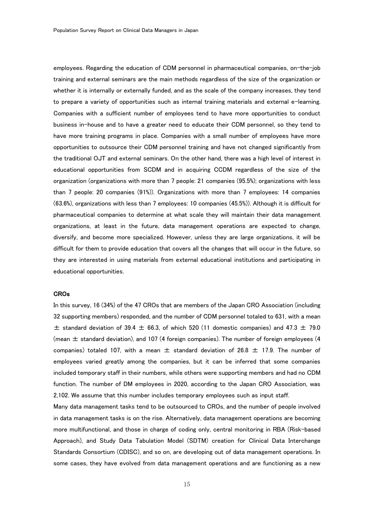employees. Regarding the education of CDM personnel in pharmaceutical companies, on-the-job training and external seminars are the main methods regardless of the size of the organization or whether it is internally or externally funded, and as the scale of the company increases, they tend to prepare a variety of opportunities such as internal training materials and external e-learning. Companies with a sufficient number of employees tend to have more opportunities to conduct business in-house and to have a greater need to educate their CDM personnel, so they tend to have more training programs in place. Companies with a small number of employees have more opportunities to outsource their CDM personnel training and have not changed significantly from the traditional OJT and external seminars. On the other hand, there was a high level of interest in educational opportunities from SCDM and in acquiring CCDM regardless of the size of the organization (organizations with more than 7 people: 21 companies (95.5%); organizations with less than 7 people: 20 companies (91%)). Organizations with more than 7 employees: 14 companies (63.6%), organizations with less than 7 employees: 10 companies (45.5%)). Although it is difficult for pharmaceutical companies to determine at what scale they will maintain their data management organizations, at least in the future, data management operations are expected to change, diversify, and become more specialized. However, unless they are large organizations, it will be difficult for them to provide education that covers all the changes that will occur in the future, so they are interested in using materials from external educational institutions and participating in educational opportunities.

#### CROs

In this survey, 16 (34%) of the 47 CROs that are members of the Japan CRO Association (including 32 supporting members) responded, and the number of CDM personnel totaled to 631, with a mean  $\pm$  standard deviation of 39.4  $\pm$  66.3, of which 520 (11 domestic companies) and 47.3  $\pm$  79.0 (mean  $\pm$  standard deviation), and 107 (4 foreign companies). The number of foreign employees (4 companies) totaled 107, with a mean  $\pm$  standard deviation of 26.8  $\pm$  17.9. The number of employees varied greatly among the companies, but it can be inferred that some companies included temporary staff in their numbers, while others were supporting members and had no CDM function. The number of DM employees in 2020, according to the Japan CRO Association, was 2,102. We assume that this number includes temporary employees such as input staff.

Many data management tasks tend to be outsourced to CROs, and the number of people involved in data management tasks is on the rise. Alternatively, data management operations are becoming more multifunctional, and those in charge of coding only, central monitoring in RBA (Risk-based Approach), and Study Data Tabulation Model (SDTM) creation for Clinical Data Interchange Standards Consortium (CDISC), and so on, are developing out of data management operations. In some cases, they have evolved from data management operations and are functioning as a new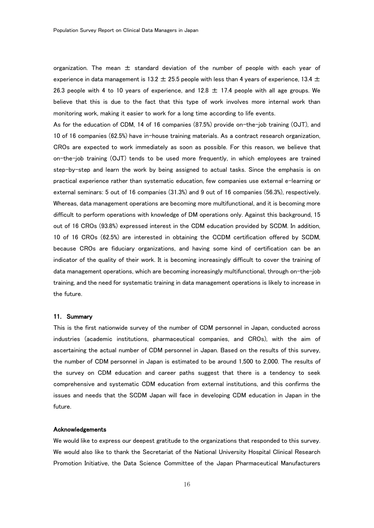organization. The mean  $\pm$  standard deviation of the number of people with each year of experience in data management is 13.2  $\pm$  25.5 people with less than 4 years of experience, 13.4  $\pm$ 26.3 people with 4 to 10 years of experience, and 12.8  $\pm$  17.4 people with all age groups. We believe that this is due to the fact that this type of work involves more internal work than monitoring work, making it easier to work for a long time according to life events.

As for the education of CDM, 14 of 16 companies (87.5%) provide on-the-job training (OJT), and 10 of 16 companies (62.5%) have in-house training materials. As a contract research organization, CROs are expected to work immediately as soon as possible. For this reason, we believe that on-the-job training (OJT) tends to be used more frequently, in which employees are trained step-by-step and learn the work by being assigned to actual tasks. Since the emphasis is on practical experience rather than systematic education, few companies use external e-learning or external seminars: 5 out of 16 companies (31.3%) and 9 out of 16 companies (56.3%), respectively. Whereas, data management operations are becoming more multifunctional, and it is becoming more difficult to perform operations with knowledge of DM operations only. Against this background, 15 out of 16 CROs (93.8%) expressed interest in the CDM education provided by SCDM. In addition, 10 of 16 CROs (62.5%) are interested in obtaining the CCDM certification offered by SCDM, because CROs are fiduciary organizations, and having some kind of certification can be an indicator of the quality of their work. It is becoming increasingly difficult to cover the training of data management operations, which are becoming increasingly multifunctional, through on-the-job training, and the need for systematic training in data management operations is likely to increase in the future.

#### 11. Summary

This is the first nationwide survey of the number of CDM personnel in Japan, conducted across industries (academic institutions, pharmaceutical companies, and CROs), with the aim of ascertaining the actual number of CDM personnel in Japan. Based on the results of this survey, the number of CDM personnel in Japan is estimated to be around 1,500 to 2,000. The results of the survey on CDM education and career paths suggest that there is a tendency to seek comprehensive and systematic CDM education from external institutions, and this confirms the issues and needs that the SCDM Japan will face in developing CDM education in Japan in the future.

#### Acknowledgements

We would like to express our deepest gratitude to the organizations that responded to this survey. We would also like to thank the Secretariat of the National University Hospital Clinical Research Promotion Initiative, the Data Science Committee of the Japan Pharmaceutical Manufacturers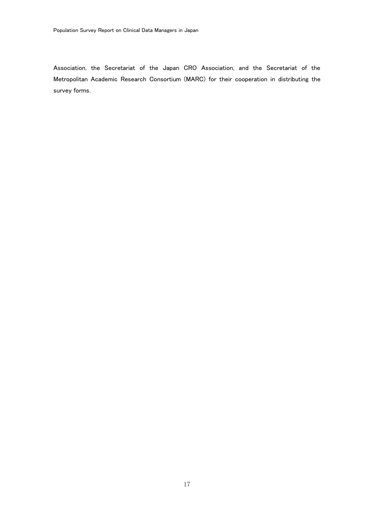Association, the Secretariat of the Japan CRO Association, and the Secretariat of the Metropolitan Academic Research Consortium (MARC) for their cooperation in distributing the survey forms.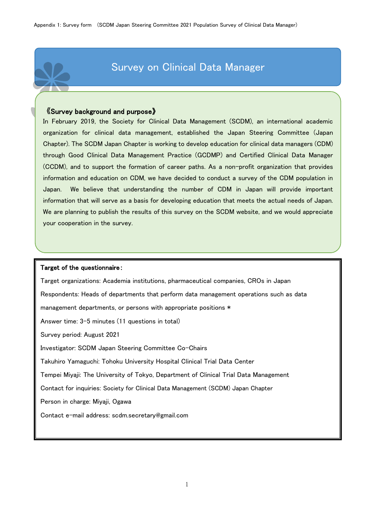# Survey on Clinical Data Manager

## 《Survey background and purpose》

In February 2019, the Society for Clinical Data Management (SCDM), an international academic organization for clinical data management, established the Japan Steering Committee (Japan Chapter). The SCDM Japan Chapter is working to develop education for clinical data managers (CDM) through Good Clinical Data Management Practice (GCDMP) and Certified Clinical Data Manager (CCDM), and to support the formation of career paths. As a non-profit organization that provides information and education on CDM, we have decided to conduct a survey of the CDM population in Japan. We believe that understanding the number of CDM in Japan will provide important information that will serve as a basis for developing education that meets the actual needs of Japan. We are planning to publish the results of this survey on the SCDM website, and we would appreciate your cooperation in the survey.

## Target of the questionnaire:

Target organizations: Academia institutions, pharmaceutical companies, CROs in Japan Respondents: Heads of departments that perform data management operations such as data management departments, or persons with appropriate positions \* Answer time: 3-5 minutes (11 questions in total) Survey period: August 2021 Investigator: SCDM Japan Steering Committee Co-Chairs Takuhiro Yamaguchi: Tohoku University Hospital Clinical Trial Data Center Tempei Miyaji: The University of Tokyo, Department of Clinical Trial Data Management Contact for inquiries: Society for Clinical Data Management (SCDM) Japan Chapter Person in charge: Miyaji, Ogawa Contact e-mail address: scdm.secretary@gmail.com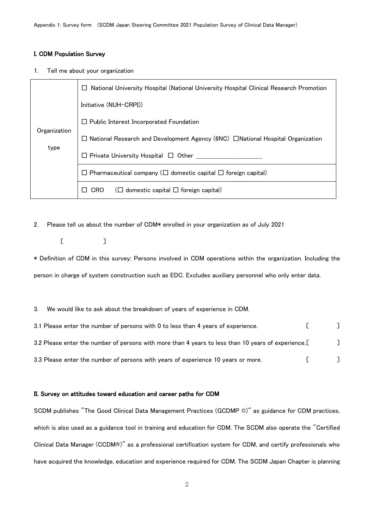## I. CDM Population Survey

1. Tell me about your organization

|              | National University Hospital (National University Hospital Clinical Research Promotion<br>$\mathsf{L}$ |
|--------------|--------------------------------------------------------------------------------------------------------|
|              | Initiative (NUH-CRPI))                                                                                 |
|              | $\Box$ Public Interest Incorporated Foundation                                                         |
| Organization | $\Box$ National Research and Development Agency (6NC) $\Box$ National Hospital Organization            |
| type         | Private University Hospital $\Box$ Other                                                               |
|              | Pharmaceutical company ( $\square$ domestic capital $\square$ foreign capital)                         |
|              | domestic capital $\Box$ foreign capital)<br>CRO<br>$\Box$                                              |

2. Please tell us about the number of CDM\* enrolled in your organization as of July 2021

〔 〕

\* Definition of CDM in this survey: Persons involved in CDM operations within the organization. Including the person in charge of system construction such as EDC. Excludes auxiliary personnel who only enter data.

#### 3. We would like to ask about the breakdown of years of experience in CDM.

| 3.1 Please enter the number of persons with 0 to less than 4 years of experience.                  |  |
|----------------------------------------------------------------------------------------------------|--|
| 3.2 Please enter the number of persons with more than 4 years to less than 10 years of experience. |  |
| 3.3 Please enter the number of persons with years of experience 10 years or more.                  |  |

## II. Survey on attitudes toward education and career paths for CDM

SCDM publishes "The Good Clinical Data Management Practices (GCDMP ©)" as guidance for CDM practices, which is also used as a guidance tool in training and education for CDM. The SCDM also operate the "Certified Clinical Data Manager (CCDM®)" as a professional certification system for CDM, and certify professionals who have acquired the knowledge, education and experience required for CDM. The SCDM Japan Chapter is planning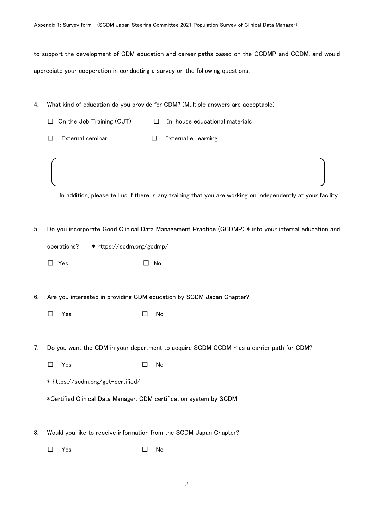to support the development of CDM education and career paths based on the GCDMP and CCDM, and would appreciate your cooperation in conducting a survey on the following questions.

- 4. What kind of education do you provide for CDM? (Multiple answers are acceptable)
- $\Box$  On the Job Training (OJT)  $\Box$  In-house educational materials □ External seminar □ External e-learning In addition, please tell us if there is any training that you are working on independently at your facility. 5. Do you incorporate Good Clinical Data Management Practice (GCDMP) \* into your internal education and operations? \* https://scdm.org/gcdmp/ □ Yes □ No
- 6. Are you interested in providing CDM education by SCDM Japan Chapter?
	- □ Yes □ No
- 7. Do you want the CDM in your department to acquire SCDM CCDM \* as a carrier path for CDM?
	- □ Yes No
	- \* https://scdm.org/get-certified/
	- \*Certified Clinical Data Manager: CDM certification system by SCDM
- 8. Would you like to receive information from the SCDM Japan Chapter?
	- □ Yes No